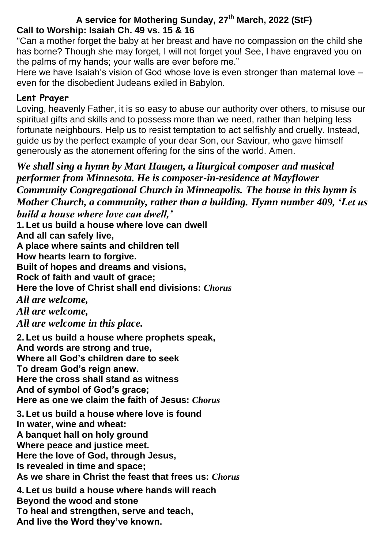# **A service for Mothering Sunday, 27th March, 2022 (StF) Call to Worship: Isaiah Ch. 49 vs. 15 & 16**

"Can a mother forget the baby at her breast and have no compassion on the child she has borne? Though she may forget, I will not forget you! See, I have engraved you on the palms of my hands; your walls are ever before me."

Here we have Isaiah's vision of God whose love is even stronger than maternal love – even for the disobedient Judeans exiled in Babylon.

# **Lent Prayer**

Loving, heavenly Father, it is so easy to abuse our authority over others, to misuse our spiritual gifts and skills and to possess more than we need, rather than helping less fortunate neighbours. Help us to resist temptation to act selfishly and cruelly. Instead, guide us by the perfect example of your dear Son, our Saviour, who gave himself generously as the atonement offering for the sins of the world. Amen.

*We shall sing a hymn by Mart Haugen, a liturgical composer and musical performer from Minnesota. He is composer-in-residence at Mayflower Community Congregational Church in Minneapolis. The house in this hymn is Mother Church, a community, rather than a building. Hymn number 409, 'Let us build a house where love can dwell,'*

**1. Let us build a house where love can dwell**

**And all can safely live,**

**A place where saints and children tell**

**How hearts learn to forgive.**

**Built of hopes and dreams and visions,**

**Rock of faith and vault of grace;**

**Here the love of Christ shall end divisions:** *Chorus*

*All are welcome,*

*All are welcome,* 

*All are welcome in this place.*

**2. Let us build a house where prophets speak, And words are strong and true, Where all God's children dare to seek To dream God's reign anew. Here the cross shall stand as witness And of symbol of God's grace; Here as one we claim the faith of Jesus:** *Chorus* **3. Let us build a house where love is found In water, wine and wheat: A banquet hall on holy ground Where peace and justice meet. Here the love of God, through Jesus, Is revealed in time and space; As we share in Christ the feast that frees us:** *Chorus* **4. Let us build a house where hands will reach Beyond the wood and stone**

**To heal and strengthen, serve and teach,**

**And live the Word they've known.**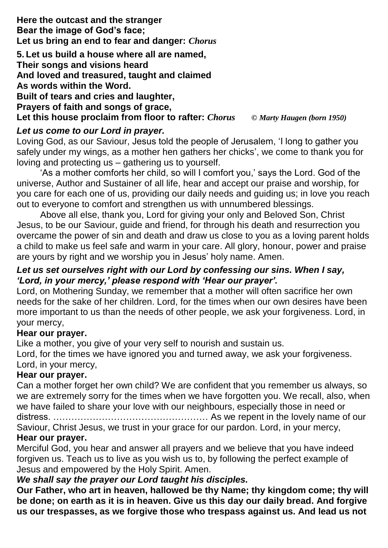**Here the outcast and the stranger Bear the image of God's face; Let us bring an end to fear and danger:** *Chorus*

**5. Let us build a house where all are named, Their songs and visions heard And loved and treasured, taught and claimed As words within the Word. Built of tears and cries and laughter, Prayers of faith and songs of grace, Let this house proclaim from floor to rafter:** *Chorus © Marty Haugen (born 1950)*

# *Let us come to our Lord in prayer.*

Loving God, as our Saviour, Jesus told the people of Jerusalem, 'I long to gather you safely under my wings, as a mother hen gathers her chicks', we come to thank you for loving and protecting us – gathering us to yourself.

'As a mother comforts her child, so will I comfort you,' says the Lord. God of the universe, Author and Sustainer of all life, hear and accept our praise and worship, for you care for each one of us, providing our daily needs and guiding us; in love you reach out to everyone to comfort and strengthen us with unnumbered blessings.

Above all else, thank you, Lord for giving your only and Beloved Son, Christ Jesus, to be our Saviour, guide and friend, for through his death and resurrection you overcame the power of sin and death and draw us close to you as a loving parent holds a child to make us feel safe and warm in your care. All glory, honour, power and praise are yours by right and we worship you in Jesus' holy name. Amen.

## *Let us set ourselves right with our Lord by confessing our sins. When I say, 'Lord, in your mercy,' please respond with 'Hear our prayer'.*

Lord, on Mothering Sunday, we remember that a mother will often sacrifice her own needs for the sake of her children. Lord, for the times when our own desires have been more important to us than the needs of other people, we ask your forgiveness. Lord, in your mercy,

# **Hear our prayer.**

Like a mother, you give of your very self to nourish and sustain us.

Lord, for the times we have ignored you and turned away, we ask your forgiveness. Lord, in your mercy,

## **Hear our prayer.**

Can a mother forget her own child? We are confident that you remember us always, so we are extremely sorry for the times when we have forgotten you. We recall, also, when we have failed to share your love with our neighbours, especially those in need or distress. …………………………………………… As we repent in the lovely name of our Saviour, Christ Jesus, we trust in your grace for our pardon. Lord, in your mercy,

# **Hear our prayer.**

Merciful God, you hear and answer all prayers and we believe that you have indeed forgiven us. Teach us to live as you wish us to, by following the perfect example of Jesus and empowered by the Holy Spirit. Amen.

# *We shall say the prayer our Lord taught his disciples.*

**Our Father, who art in heaven, hallowed be thy Name; thy kingdom come; thy will be done; on earth as it is in heaven. Give us this day our daily bread. And forgive us our trespasses, as we forgive those who trespass against us. And lead us not**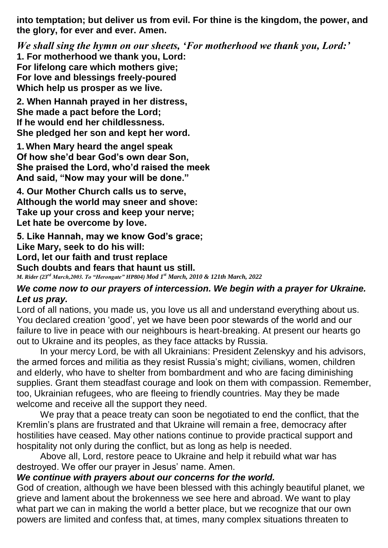**into temptation; but deliver us from evil. For thine is the kingdom, the power, and the glory, for ever and ever. Amen.**

*We shall sing the hymn on our sheets, 'For motherhood we thank you, Lord:'* **1. For motherhood we thank you, Lord: For lifelong care which mothers give; For love and blessings freely-poured Which help us prosper as we live.**

**2. When Hannah prayed in her distress, She made a pact before the Lord; If he would end her childlessness. She pledged her son and kept her word.**

**1. When Mary heard the angel speak Of how she'd bear God's own dear Son, She praised the Lord, who'd raised the meek And said, "Now may your will be done."**

**4. Our Mother Church calls us to serve, Although the world may sneer and shove: Take up your cross and keep your nerve; Let hate be overcome by love.**

**5. Like Hannah, may we know God's grace; Like Mary, seek to do his will: Lord, let our faith and trust replace Such doubts and fears that haunt us still.** *M. Rider (23rd March,2003. To "Herongate" HP804) Mod 1st March, 2010 & 121th March, 2022* 

#### *We come now to our prayers of intercession. We begin with a prayer for Ukraine. Let us pray.*

Lord of all nations, you made us, you love us all and understand everything about us. You declared creation 'good', yet we have been poor stewards of the world and our failure to live in peace with our neighbours is heart-breaking. At present our hearts go out to Ukraine and its peoples, as they face attacks by Russia.

In your mercy Lord, be with all Ukrainians: President Zelenskyy and his advisors, the armed forces and militia as they resist Russia's might; civilians, women, children and elderly, who have to shelter from bombardment and who are facing diminishing supplies. Grant them steadfast courage and look on them with compassion. Remember, too, Ukrainian refugees, who are fleeing to friendly countries. May they be made welcome and receive all the support they need.

We pray that a peace treaty can soon be negotiated to end the conflict, that the Kremlin's plans are frustrated and that Ukraine will remain a free, democracy after hostilities have ceased. May other nations continue to provide practical support and hospitality not only during the conflict, but as long as help is needed.

Above all, Lord, restore peace to Ukraine and help it rebuild what war has destroyed. We offer our prayer in Jesus' name. Amen.

### *We continue with prayers about our concerns for the world.*

God of creation, although we have been blessed with this achingly beautiful planet, we grieve and lament about the brokenness we see here and abroad. We want to play what part we can in making the world a better place, but we recognize that our own powers are limited and confess that, at times, many complex situations threaten to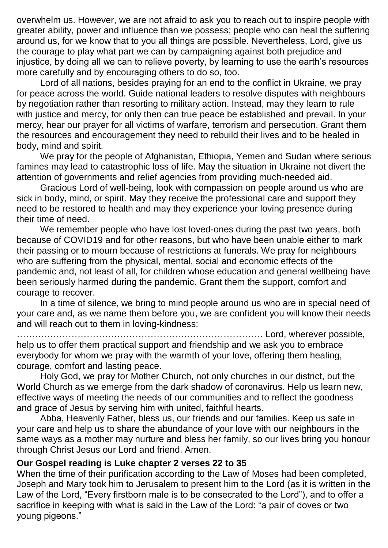overwhelm us. However, we are not afraid to ask you to reach out to inspire people with greater ability, power and influence than we possess; people who can heal the suffering around us, for we know that to you all things are possible. Nevertheless, Lord, give us the courage to play what part we can by campaigning against both prejudice and injustice, by doing all we can to relieve poverty, by learning to use the earth's resources more carefully and by encouraging others to do so, too.

Lord of all nations, besides praying for an end to the conflict in Ukraine, we pray for peace across the world. Guide national leaders to resolve disputes with neighbours by negotiation rather than resorting to military action. Instead, may they learn to rule with justice and mercy, for only then can true peace be established and prevail. In your mercy, hear our prayer for all victims of warfare, terrorism and persecution. Grant them the resources and encouragement they need to rebuild their lives and to be healed in body, mind and spirit.

We pray for the people of Afghanistan, Ethiopia, Yemen and Sudan where serious famines may lead to catastrophic loss of life. May the situation in Ukraine not divert the attention of governments and relief agencies from providing much-needed aid.

Gracious Lord of well-being, look with compassion on people around us who are sick in body, mind, or spirit. May they receive the professional care and support they need to be restored to health and may they experience your loving presence during their time of need.

We remember people who have lost loved-ones during the past two years, both because of COVID19 and for other reasons, but who have been unable either to mark their passing or to mourn because of restrictions at funerals. We pray for neighbours who are suffering from the physical, mental, social and economic effects of the pandemic and, not least of all, for children whose education and general wellbeing have been seriously harmed during the pandemic. Grant them the support, comfort and courage to recover.

In a time of silence, we bring to mind people around us who are in special need of your care and, as we name them before you, we are confident you will know their needs and will reach out to them in loving-kindness:

……………………………………………………………………… Lord, wherever possible, help us to offer them practical support and friendship and we ask you to embrace everybody for whom we pray with the warmth of your love, offering them healing, courage, comfort and lasting peace.

Holy God, we pray for Mother Church, not only churches in our district, but the World Church as we emerge from the dark shadow of coronavirus. Help us learn new, effective ways of meeting the needs of our communities and to reflect the goodness and grace of Jesus by serving him with united, faithful hearts.

Abba, Heavenly Father, bless us, our friends and our families. Keep us safe in your care and help us to share the abundance of your love with our neighbours in the same ways as a mother may nurture and bless her family, so our lives bring you honour through Christ Jesus our Lord and friend. Amen.

#### **Our Gospel reading is Luke chapter 2 verses 22 to 35**

When the time of their purification according to the Law of Moses had been completed, Joseph and Mary took him to Jerusalem to present him to the Lord (as it is written in the Law of the Lord, "Every firstborn male is to be consecrated to the Lord"), and to offer a sacrifice in keeping with what is said in the Law of the Lord: "a pair of doves or two young pigeons."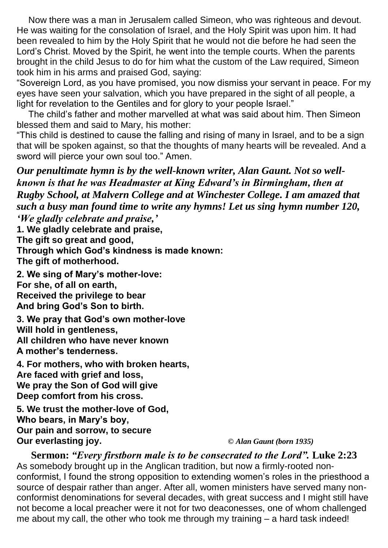Now there was a man in Jerusalem called Simeon, who was righteous and devout. He was waiting for the consolation of Israel, and the Holy Spirit was upon him. It had been revealed to him by the Holy Spirit that he would not die before he had seen the Lord's Christ. Moved by the Spirit, he went into the temple courts. When the parents brought in the child Jesus to do for him what the custom of the Law required, Simeon took him in his arms and praised God, saying:

"Sovereign Lord, as you have promised, you now dismiss your servant in peace. For my eyes have seen your salvation, which you have prepared in the sight of all people, a light for revelation to the Gentiles and for glory to your people Israel."

The child's father and mother marvelled at what was said about him. Then Simeon blessed them and said to Mary, his mother:

"This child is destined to cause the falling and rising of many in Israel, and to be a sign that will be spoken against, so that the thoughts of many hearts will be revealed. And a sword will pierce your own soul too." Amen.

*Our penultimate hymn is by the well-known writer, Alan Gaunt. Not so wellknown is that he was Headmaster at King Edward's in Birmingham, then at Rugby School, at Malvern College and at Winchester College. I am amazed that such a busy man found time to write any hymns! Let us sing hymn number 120,* 

*'We gladly celebrate and praise,'*

**1. We gladly celebrate and praise, The gift so great and good,**

**Through which God's kindness is made known: The gift of motherhood.**

**2. We sing of Mary's mother-love: For she, of all on earth, Received the privilege to bear And bring God's Son to birth.**

**3. We pray that God's own mother-love Will hold in gentleness, All children who have never known A mother's tenderness.**

**4. For mothers, who with broken hearts, Are faced with grief and loss, We pray the Son of God will give Deep comfort from his cross.**

**5. We trust the mother-love of God, Who bears, in Mary's boy, Our pain and sorrow, to secure Our everlasting joy.** *© Alan Gaunt (born 1935)*

**Sermon:** *"Every firstborn male is to be consecrated to the Lord".* **Luke 2:23** As somebody brought up in the Anglican tradition, but now a firmly-rooted nonconformist, I found the strong opposition to extending women's roles in the priesthood a source of despair rather than anger. After all, women ministers have served many nonconformist denominations for several decades, with great success and I might still have not become a local preacher were it not for two deaconesses, one of whom challenged me about my call, the other who took me through my training – a hard task indeed!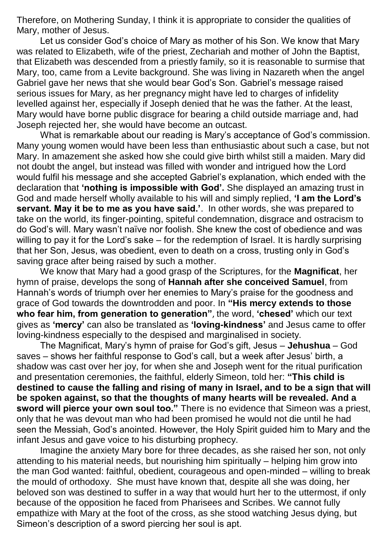Therefore, on Mothering Sunday, I think it is appropriate to consider the qualities of Mary, mother of Jesus.

Let us consider God's choice of Mary as mother of his Son. We know that Mary was related to Elizabeth, wife of the priest, Zechariah and mother of John the Baptist, that Elizabeth was descended from a priestly family, so it is reasonable to surmise that Mary, too, came from a Levite background. She was living in Nazareth when the angel Gabriel gave her news that she would bear God's Son. Gabriel's message raised serious issues for Mary, as her pregnancy might have led to charges of infidelity levelled against her, especially if Joseph denied that he was the father. At the least, Mary would have borne public disgrace for bearing a child outside marriage and, had Joseph rejected her, she would have become an outcast.

What is remarkable about our reading is Mary's acceptance of God's commission. Many young women would have been less than enthusiastic about such a case, but not Mary. In amazement she asked how she could give birth whilst still a maiden. Mary did not doubt the angel, but instead was filled with wonder and intrigued how the Lord would fulfil his message and she accepted Gabriel's explanation, which ended with the declaration that **'nothing is impossible with God'.** She displayed an amazing trust in God and made herself wholly available to his will and simply replied, **'I am the Lord's servant. May it be to me as you have said.'**. In other words, she was prepared to take on the world, its finger-pointing, spiteful condemnation, disgrace and ostracism to do God's will. Mary wasn't naïve nor foolish. She knew the cost of obedience and was willing to pay it for the Lord's sake – for the redemption of Israel. It is hardly surprising that her Son, Jesus, was obedient, even to death on a cross, trusting only in God's saving grace after being raised by such a mother.

We know that Mary had a good grasp of the Scriptures, for the **Magnificat**, her hymn of praise, develops the song of **Hannah after she conceived Samuel**, from Hannah's words of triumph over her enemies to Mary's praise for the goodness and grace of God towards the downtrodden and poor. In **"His mercy extends to those who fear him, from generation to generation"**, the word, **'chesed'** which our text gives as **'mercy'** can also be translated as **'loving-kindness'** and Jesus came to offer loving-kindness especially to the despised and marginalised in society.

The Magnificat, Mary's hymn of praise for God's gift, Jesus – **Jehushua** – God saves – shows her faithful response to God's call, but a week after Jesus' birth, a shadow was cast over her joy, for when she and Joseph went for the ritual purification and presentation ceremonies, the faithful, elderly Simeon, told her: **"This child is destined to cause the falling and rising of many in Israel, and to be a sign that will be spoken against, so that the thoughts of many hearts will be revealed. And a sword will pierce your own soul too."** There is no evidence that Simeon was a priest, only that he was devout man who had been promised he would not die until he had seen the Messiah, God's anointed. However, the Holy Spirit guided him to Mary and the infant Jesus and gave voice to his disturbing prophecy.

Imagine the anxiety Mary bore for three decades, as she raised her son, not only attending to his material needs, but nourishing him spiritually – helping him grow into the man God wanted: faithful, obedient, courageous and open-minded – willing to break the mould of orthodoxy. She must have known that, despite all she was doing, her beloved son was destined to suffer in a way that would hurt her to the uttermost, if only because of the opposition he faced from Pharisees and Scribes. We cannot fully empathize with Mary at the foot of the cross, as she stood watching Jesus dying, but Simeon's description of a sword piercing her soul is apt.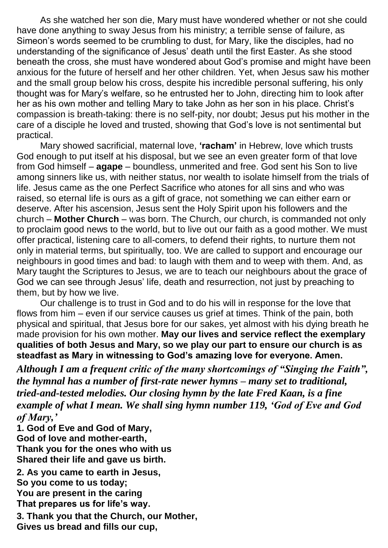As she watched her son die, Mary must have wondered whether or not she could have done anything to sway Jesus from his ministry; a terrible sense of failure, as Simeon's words seemed to be crumbling to dust, for Mary, like the disciples, had no understanding of the significance of Jesus' death until the first Easter. As she stood beneath the cross, she must have wondered about God's promise and might have been anxious for the future of herself and her other children. Yet, when Jesus saw his mother and the small group below his cross, despite his incredible personal suffering, his only thought was for Mary's welfare, so he entrusted her to John, directing him to look after her as his own mother and telling Mary to take John as her son in his place. Christ's compassion is breath-taking: there is no self-pity, nor doubt; Jesus put his mother in the care of a disciple he loved and trusted, showing that God's love is not sentimental but practical.

Mary showed sacrificial, maternal love, **'racham'** in Hebrew, love which trusts God enough to put itself at his disposal, but we see an even greater form of that love from God himself – **agape** – boundless, unmerited and free. God sent his Son to live among sinners like us, with neither status, nor wealth to isolate himself from the trials of life. Jesus came as the one Perfect Sacrifice who atones for all sins and who was raised, so eternal life is ours as a gift of grace, not something we can either earn or deserve. After his ascension, Jesus sent the Holy Spirit upon his followers and the church – **Mother Church** – was born. The Church, our church, is commanded not only to proclaim good news to the world, but to live out our faith as a good mother. We must offer practical, listening care to all-comers, to defend their rights, to nurture them not only in material terms, but spiritually, too. We are called to support and encourage our neighbours in good times and bad: to laugh with them and to weep with them. And, as Mary taught the Scriptures to Jesus, we are to teach our neighbours about the grace of God we can see through Jesus' life, death and resurrection, not just by preaching to them, but by how we live.

Our challenge is to trust in God and to do his will in response for the love that flows from him  $-$  even if our service causes us grief at times. Think of the pain, both physical and spiritual, that Jesus bore for our sakes, yet almost with his dying breath he made provision for his own mother. **May our lives and service reflect the exemplary qualities of both Jesus and Mary, so we play our part to ensure our church is as steadfast as Mary in witnessing to God's amazing love for everyone. Amen.**

*Although I am a frequent critic of the many shortcomings of "Singing the Faith", the hymnal has a number of first-rate newer hymns – many set to traditional, tried-and-tested melodies. Our closing hymn by the late Fred Kaan, is a fine example of what I mean. We shall sing hymn number 119, 'God of Eve and God of Mary,'*

**1. God of Eve and God of Mary, God of love and mother-earth, Thank you for the ones who with us Shared their life and gave us birth.**

**2. As you came to earth in Jesus, So you come to us today; You are present in the caring That prepares us for life's way.**

**3. Thank you that the Church, our Mother, Gives us bread and fills our cup,**